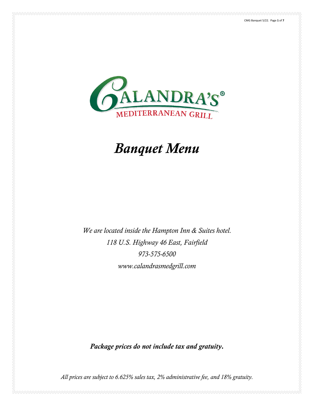

# *Banquet Menu*

*We are located inside the Hampton Inn & Suites hotel. 118 U.S. Highway 46 East, Fairfield 973-575-6500 www.calandrasmedgrill.com*

*Package prices do not include tax and gratuity.*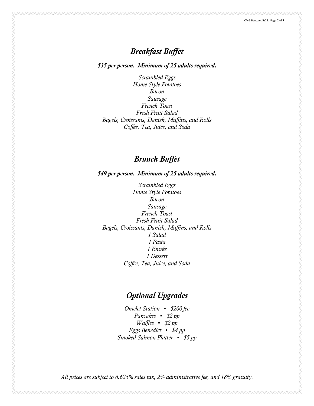# *Breakfast Buffet*

*\$35 per person. Minimum of 25 adults required.* 

*Scrambled Eggs Home Style Potatoes Bacon Sausage French Toast Fresh Fruit Salad Bagels, Croissants, Danish, Muffins, and Rolls Coffee, Tea, Juice, and Soda*

# *Brunch Buffet*

*\$49 per person. Minimum of 25 adults required.*

*Scrambled Eggs Home Style Potatoes Bacon Sausage French Toast Fresh Fruit Salad Bagels, Croissants, Danish, Muffins, and Rolls 1 Salad 1 Pasta 1 Entrée 1 Dessert Coffee, Tea, Juice, and Soda*

# *Optional Upgrades*

*Omelet Station ▪ \$200 fee Pancakes ▪ \$2 pp Waffles ▪ \$2 pp Eggs Benedict ▪ \$4 pp Smoked Salmon Platter ▪ \$5 pp*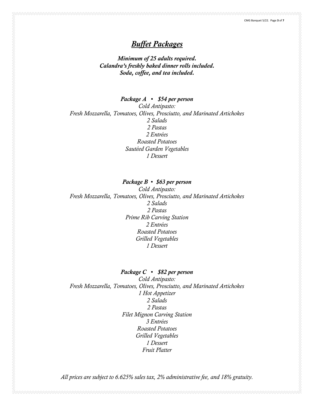# *Buffet Packages*

*Minimum of 25 adults required. Calandra's freshly baked dinner rolls included. Soda, coffee, and tea included.*

*Package A ▪ \$54 per person Cold Antipasto: Fresh Mozzarella, Tomatoes, Olives, Prosciutto, and Marinated Artichokes 2 Salads 2 Pastas 2 Entrées Roasted Potatoes Sautéed Garden Vegetables 1 Dessert*

#### *Package B ▪ \$63 per person*

*Cold Antipasto: Fresh Mozzarella, Tomatoes, Olives, Prosciutto, and Marinated Artichokes 2 Salads 2 Pastas Prime Rib Carving Station 2 Entrées Roasted Potatoes Grilled Vegetables 1 Dessert*

#### *Package C ▪ \$82 per person*

*Cold Antipasto: Fresh Mozzarella, Tomatoes, Olives, Prosciutto, and Marinated Artichokes 1 Hot Appetizer 2 Salads 2 Pastas Filet Mignon Carving Station 3 Entrées Roasted Potatoes Grilled Vegetables 1 Dessert Fruit Platter*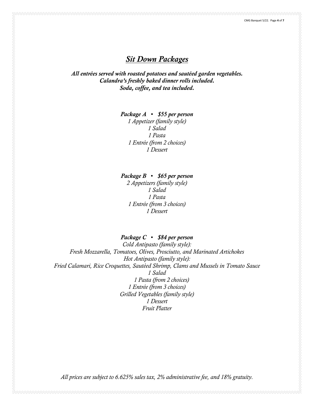# *Sit Down Packages*

*All entrées served with roasted potatoes and sautéed garden vegetables. Calandra's freshly baked dinner rolls included. Soda, coffee, and tea included.* 

*Package A ▪ \$55 per person*

*1 Appetizer (family style) 1 Salad 1 Pasta 1 Entrée (from 2 choices) 1 Dessert*

*Package B ▪ \$65 per person 2 Appetizers (family style) 1 Salad 1 Pasta 1 Entrée (from 3 choices) 1 Dessert*

*Package C ▪ \$84 per person*

*Cold Antipasto (family style): Fresh Mozzarella, Tomatoes, Olives, Prosciutto, and Marinated Artichokes Hot Antipasto (family style): Fried Calamari, Rice Croquettes, Sautéed Shrimp, Clams and Mussels in Tomato Sauce 1 Salad 1 Pasta (from 2 choices) 1 Entrée (from 3 choices) Grilled Vegetables (family style) 1 Dessert Fruit Platter*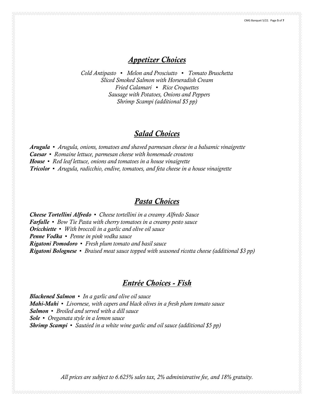# *Appetizer Choices*

*Cold Antipasto ▪ Melon and Prosciutto ▪ Tomato Bruschetta Sliced Smoked Salmon with Horseradish Cream Fried Calamari ▪ Rice Croquettes Sausage with Potatoes, Onions and Peppers Shrimp Scampi (additional \$5 pp)*

## *Salad Choices*

*Arugula ▪ Arugula, onions, tomatoes and shaved parmesan cheese in a balsamic vinaigrette Caesar ▪ Romaine lettuce, parmesan cheese with homemade croutons House ▪ Red leaf lettuce, onions and tomatoes in a house vinaigrette Tricolor ▪ Arugula, radicchio, endive, tomatoes, and feta cheese in a house vinaigrette*

#### *Pasta Choices*

*Cheese Tortellini Alfredo ▪ Cheese tortellini in a creamy Alfredo Sauce Farfalle ▪ Bow Tie Pasta with cherry tomatoes in a creamy pesto sauce Oricchiette ▪ With broccoli in a garlic and olive oil sauce Penne Vodka ▪ Penne in pink vodka sauce Rigatoni Pomodoro ▪ Fresh plum tomato and basil sauce Rigatoni Bolognese ▪ Braised meat sauce topped with seasoned ricotta cheese (additional \$3 pp)*

#### *Entrée Choices - Fish*

*Blackened Salmon ▪ In a garlic and olive oil sauce Mahi-Mahi ▪ Livornese, with capers and black olives in a fresh plum tomato sauce Salmon ▪ Broiled and served with a dill sauce Sole ▪ Oreganata style in a lemon sauce Shrimp Scampi ▪ Sautéed in a white wine garlic and oil sauce (additional \$5 pp)*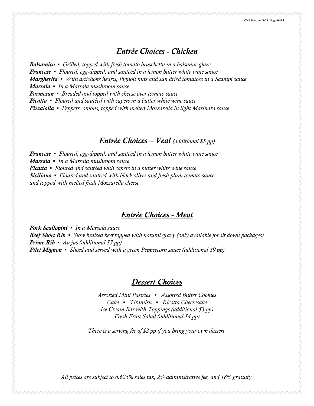# *Entrée Choices - Chicken*

*Balsamico ▪ Grilled, topped with fresh tomato bruschetta in a balsamic glaze Francese ▪ Floured, egg-dipped, and sautéed in a lemon butter white wine sauce Margherita ▪ With artichoke hearts, Pignoli nuts and sun dried tomatoes in a Scampi sauce Marsala ▪ In a Marsala mushroom sauce Parmesan ▪ Breaded and topped with cheese over tomato sauce Picatta ▪ Floured and sautéed with capers in a butter white wine sauce Pizzaiolla ▪ Peppers, onions, topped with melted Mozzarella in light Marinara sauce*

#### *Entrée Choices – Veal (additional \$5 pp)*

*Francese ▪ Floured, egg-dipped, and sautéed in a lemon butter white wine sauce Marsala ▪ In a Marsala mushroom sauce Picatta ▪ Floured and sautéed with capers in a butter white wine sauce Siciliano ▪ Floured and sautéed with black olives and fresh plum tomato sauce and topped with melted fresh Mozzarella cheese*

#### *Entrée Choices - Meat*

*Pork Scallopini ▪ In a Marsala sauce Beef Short Rib ▪ Slow braised beef topped with natural gravy (only available for sit down packages) Prime Rib ▪ Au jus (additional \$7 pp) Filet Mignon ▪ Sliced and served with a green Peppercorn sauce (additional \$9 pp)*

## *Dessert Choices*

*Assorted Mini Pastries ▪ Assorted Butter Cookies Cake ▪ Tiramisu ▪ Ricotta Cheesecake Ice Cream Bar with Toppings (additional \$3 pp) Fresh Fruit Salad (additional \$4 pp)*

*There is a serving fee of \$3 pp if you bring your own dessert.*